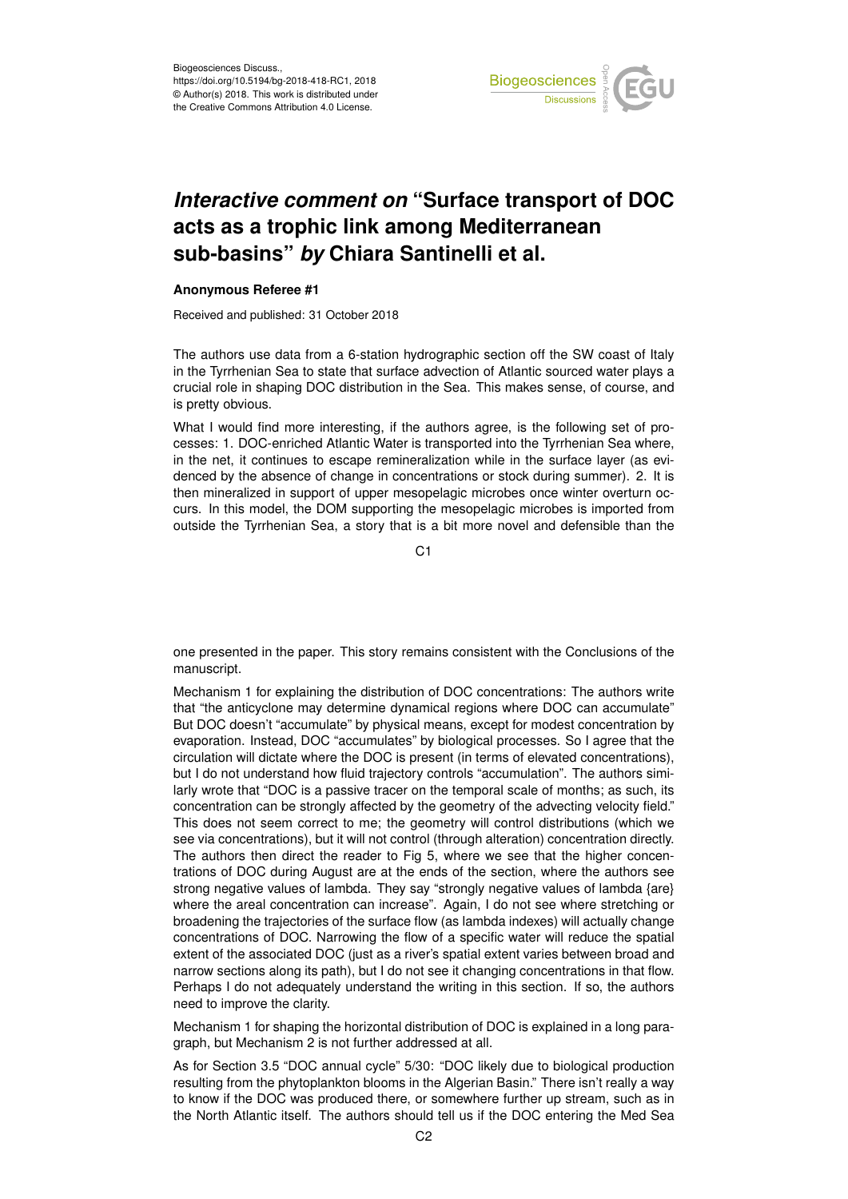

## *Interactive comment on* **"Surface transport of DOC acts as a trophic link among Mediterranean sub-basins"** *by* **Chiara Santinelli et al.**

## **Anonymous Referee #1**

Received and published: 31 October 2018

The authors use data from a 6-station hydrographic section off the SW coast of Italy in the Tyrrhenian Sea to state that surface advection of Atlantic sourced water plays a crucial role in shaping DOC distribution in the Sea. This makes sense, of course, and is pretty obvious.

What I would find more interesting, if the authors agree, is the following set of processes: 1. DOC-enriched Atlantic Water is transported into the Tyrrhenian Sea where, in the net, it continues to escape remineralization while in the surface layer (as evidenced by the absence of change in concentrations or stock during summer). 2. It is then mineralized in support of upper mesopelagic microbes once winter overturn occurs. In this model, the DOM supporting the mesopelagic microbes is imported from outside the Tyrrhenian Sea, a story that is a bit more novel and defensible than the

 $C<sub>1</sub>$ 

one presented in the paper. This story remains consistent with the Conclusions of the manuscript.

Mechanism 1 for explaining the distribution of DOC concentrations: The authors write that "the anticyclone may determine dynamical regions where DOC can accumulate" But DOC doesn't "accumulate" by physical means, except for modest concentration by evaporation. Instead, DOC "accumulates" by biological processes. So I agree that the circulation will dictate where the DOC is present (in terms of elevated concentrations), but I do not understand how fluid trajectory controls "accumulation". The authors similarly wrote that "DOC is a passive tracer on the temporal scale of months; as such, its concentration can be strongly affected by the geometry of the advecting velocity field." This does not seem correct to me; the geometry will control distributions (which we see via concentrations), but it will not control (through alteration) concentration directly. The authors then direct the reader to Fig 5, where we see that the higher concentrations of DOC during August are at the ends of the section, where the authors see strong negative values of lambda. They say "strongly negative values of lambda {are} where the areal concentration can increase". Again, I do not see where stretching or broadening the trajectories of the surface flow (as lambda indexes) will actually change concentrations of DOC. Narrowing the flow of a specific water will reduce the spatial extent of the associated DOC (just as a river's spatial extent varies between broad and narrow sections along its path), but I do not see it changing concentrations in that flow. Perhaps I do not adequately understand the writing in this section. If so, the authors need to improve the clarity.

Mechanism 1 for shaping the horizontal distribution of DOC is explained in a long paragraph, but Mechanism 2 is not further addressed at all.

As for Section 3.5 "DOC annual cycle" 5/30: "DOC likely due to biological production resulting from the phytoplankton blooms in the Algerian Basin." There isn't really a way to know if the DOC was produced there, or somewhere further up stream, such as in the North Atlantic itself. The authors should tell us if the DOC entering the Med Sea